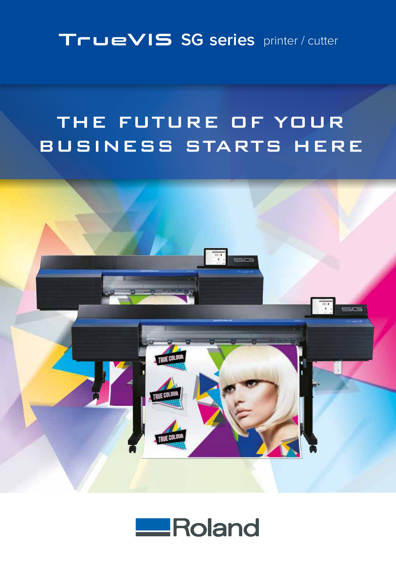### TrueVIS SG series printer / cutter

## THE FUTURE OF YOUR BUSINESS STARTS HERE



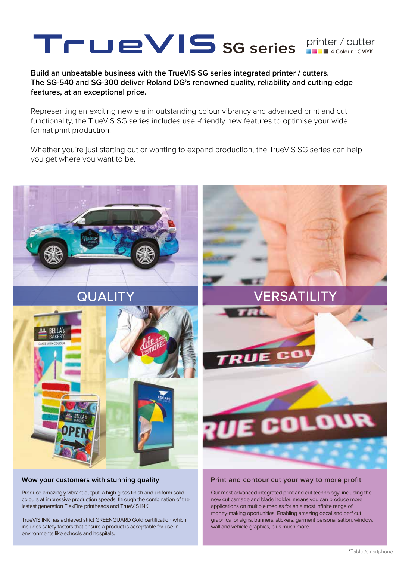# SG series **Finiter / cutter**

**Build an unbeatable business with the TrueVIS SG series integrated printer / cutters. The SG-540 and SG-300 deliver Roland DG's renowned quality, reliability and cutting-edge features, at an exceptional price.**

Representing an exciting new era in outstanding colour vibrancy and advanced print and cut functionality, the TrueVIS SG series includes user-friendly new features to optimise your wide format print production.

Whether you're just starting out or wanting to expand production, the TrueVIS SG series can help you get where you want to be.



#### **Wow your customers with stunning quality**

Produce amazingly vibrant output, a high gloss finish and uniform solid colours at impressive production speeds, through the combination of the lastest generation FlexFire printheads and TrueVIS INK.

TrueVIS INK has achieved strict GREENGUARD Gold certification which includes safety factors that ensure a product is acceptable for use in environments like schools and hospitals.

#### **Print and contour cut your way to more profit**

Our most advanced integrated print and cut technology, including the new cut carriage and blade holder, means you can produce more applications on multiple medias for an almost infinite range of money-making oportunities. Enabling amazing decal and perf cut graphics for signs, banners, stickers, garment personalisation, window, wall and vehicle graphics, plus much more.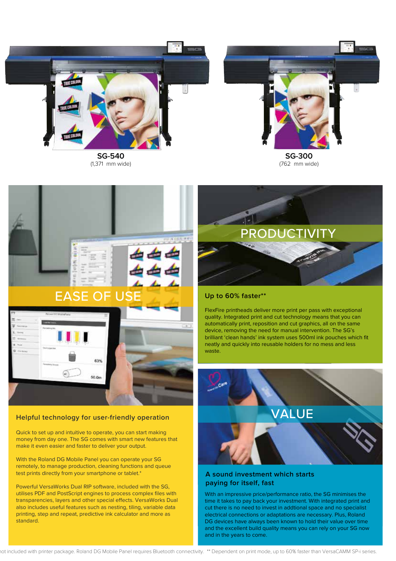

**SG-540** (1,371 mm wide)



(762 mm wide)



#### **Helpful technology for user-friendly operation**

Quick to set up and intuitive to operate, you can start making money from day one. The SG comes with smart new features that make it even easier and faster to deliver your output.

With the Roland DG Mobile Panel you can operate your SG remotely, to manage production, cleaning functions and queue test prints directly from your smartphone or tablet.<sup>\*</sup>

Powerful VersaWorks Dual RIP software, included with the SG, utilises PDF and PostScript engines to process complex files with transparencies, layers and other special effects. VersaWorks Dual also includes useful features such as nesting, tiling, variable data printing, step and repeat, predictive ink calculator and more as standard.



#### **Up to 60% faster\*\***

FlexFire printheads deliver more print per pass with exceptional quality. Integrated print and cut technology means that you can automatically print, reposition and cut graphics, all on the same device, removing the need for manual intervention. The SG's brilliant 'clean hands' ink system uses 500ml ink pouches which fit neatly and quickly into reusable holders for no mess and less waste.



#### **A sound investment which starts paying for itself, fast**

With an impressive price/performance ratio, the SG minimises the time it takes to pay back your investment. With integrated print and cut there is no need to invest in addtional space and no specialist electrical connections or adaptations are necessary. Plus, Roland DG devices have always been known to hold their value over time and the excellent build quality means you can rely on your SG now and in the years to come.